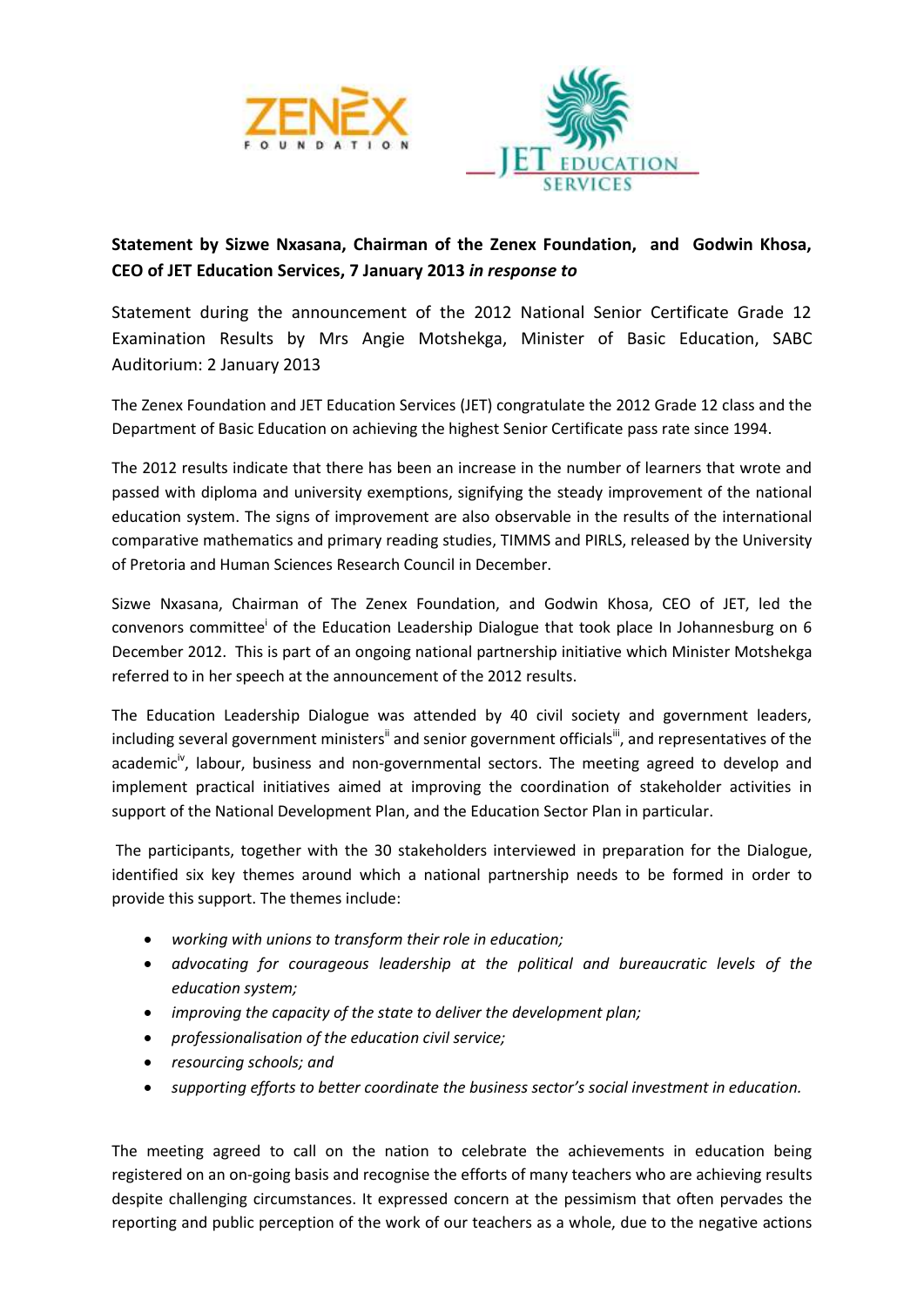



## **Statement by Sizwe Nxasana, Chairman of the Zenex Foundation, and Godwin Khosa, CEO of JET Education Services, 7 January 2013** *in response to*

Statement during the announcement of the 2012 National Senior Certificate Grade 12 Examination Results by Mrs Angie Motshekga, Minister of Basic Education, SABC Auditorium: 2 January 2013

The Zenex Foundation and JET Education Services (JET) congratulate the 2012 Grade 12 class and the Department of Basic Education on achieving the highest Senior Certificate pass rate since 1994.

The 2012 results indicate that there has been an increase in the number of learners that wrote and passed with diploma and university exemptions, signifying the steady improvement of the national education system. The signs of improvement are also observable in the results of the international comparative mathematics and primary reading studies, TIMMS and PIRLS, released by the University of Pretoria and Human Sciences Research Council in December.

Sizwe Nxasana, Chairman of The Zenex Foundation, and Godwin Khosa, CEO of JET, led the convenors committee<sup>i</sup> of the Education Leadership Dialogue that took place In Johannesburg on 6 December 2012. This is part of an ongoing national partnership initiative which Minister Motshekga referred to in her speech at the announcement of the 2012 results.

The Education Leadership Dialogue was attended by 40 civil society and government leaders, including several government ministers<sup>ii</sup> and senior government officials<sup>iii</sup>, and representatives of the academic<sup>iv</sup>, labour, business and non-governmental sectors. The meeting agreed to develop and implement practical initiatives aimed at improving the coordination of stakeholder activities in support of the National Development Plan, and the Education Sector Plan in particular.

The participants, together with the 30 stakeholders interviewed in preparation for the Dialogue, identified six key themes around which a national partnership needs to be formed in order to provide this support. The themes include:

- *working with unions to transform their role in education;*
- *advocating for courageous leadership at the political and bureaucratic levels of the education system;*
- *improving the capacity of the state to deliver the development plan;*
- *professionalisation of the education civil service;*
- *resourcing schools; and*
- *supporting efforts to better coordinate the business sector's social investment in education.*

The meeting agreed to call on the nation to celebrate the achievements in education being registered on an on-going basis and recognise the efforts of many teachers who are achieving results despite challenging circumstances. It expressed concern at the pessimism that often pervades the reporting and public perception of the work of our teachers as a whole, due to the negative actions